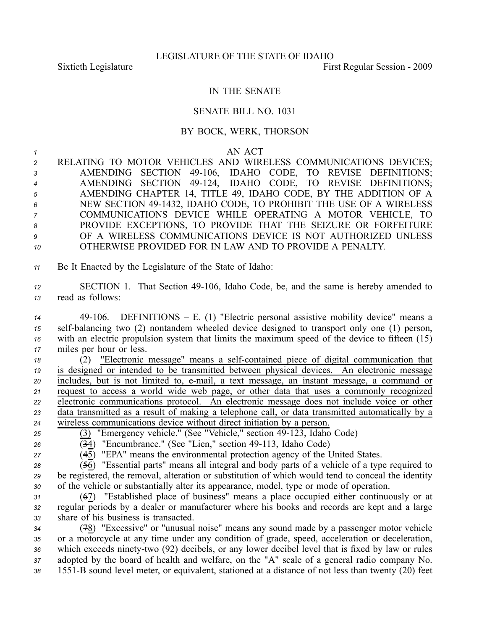## IN THE SENATE

## SENATE BILL NO. 1031

## BY BOCK, WERK, THORSON

*1* AN ACT

 RELATING TO MOTOR VEHICLES AND WIRELESS COMMUNICATIONS DEVICES; AMENDING SECTION 49106, IDAHO CODE, TO REVISE DEFINITIONS; AMENDING SECTION 49124, IDAHO CODE, TO REVISE DEFINITIONS; AMENDING CHAPTER 14, TITLE 49, IDAHO CODE, BY THE ADDITION OF A NEW SECTION 491432, IDAHO CODE, TO PROHIBIT THE USE OF A WIRELESS COMMUNICATIONS DEVICE WHILE OPERATING A MOTOR VEHICLE, TO PROVIDE EXCEPTIONS, TO PROVIDE THAT THE SEIZURE OR FORFEITURE OF A WIRELESS COMMUNICATIONS DEVICE IS NOT AUTHORIZED UNLESS OTHERWISE PROVIDED FOR IN LAW AND TO PROVIDE A PENALTY.

*<sup>11</sup>* Be It Enacted by the Legislature of the State of Idaho:

*<sup>12</sup>* SECTION 1. That Section 49106, Idaho Code, be, and the same is hereby amended to *<sup>13</sup>* read as follows:

 49106. DEFINITIONS – E. (1) "Electric personal assistive mobility device" means <sup>a</sup> self-balancing two (2) nontandem wheeled device designed to transport only one (1) person, with an electric propulsion system that limits the maximum speed of the device to fifteen (15) miles per hour or less.

18 (2) "Electronic message" means a self-contained piece of digital communication that is designed or intended to be transmitted between physical devices. An electronic message includes, but is not limited to, email, <sup>a</sup> text message, an instant message, <sup>a</sup> command or reques<sup>t</sup> to access <sup>a</sup> world wide web page, or other data that uses <sup>a</sup> commonly recognized electronic communications protocol. An electronic message does not include voice or other data transmitted as <sup>a</sup> result of making <sup>a</sup> telephone call, or data transmitted automatically by <sup>a</sup> wireless communications device without direct initiation by <sup>a</sup> person.

- <sup>25</sup> (3) "Emergency vehicle." (See "Vehicle," section 49-123, Idaho Code)
- $\overline{34}$  "Encumbrance." (See "Lien," section 49-113, Idaho Code)
- *<sup>27</sup>* (45) "EPA" means the environmental protection agency of the United States.

 $28$  ( $\overline{56}$ ) "Essential parts" means all integral and body parts of a vehicle of a type required to *<sup>29</sup>* be registered, the removal, alteration or substitution of which would tend to conceal the identity *<sup>30</sup>* of the vehicle or substantially alter its appearance, model, type or mode of operation.

*<sup>31</sup>* (67) "Established place of business" means <sup>a</sup> place occupied either continuously or at *<sup>32</sup>* regular periods by <sup>a</sup> dealer or manufacturer where his books and records are kept and <sup>a</sup> large *<sup>33</sup>* share of his business is transacted.

 (78) "Excessive" or "unusual noise" means any sound made by <sup>a</sup> passenger motor vehicle or <sup>a</sup> motorcycle at any time under any condition of grade, speed, acceleration or deceleration, 36 which exceeds ninety-two (92) decibels, or any lower decibel level that is fixed by law or rules adopted by the board of health and welfare, on the "A" scale of <sup>a</sup> general radio company No. 1551B sound level meter, or equivalent, stationed at <sup>a</sup> distance of not less than twenty (20) feet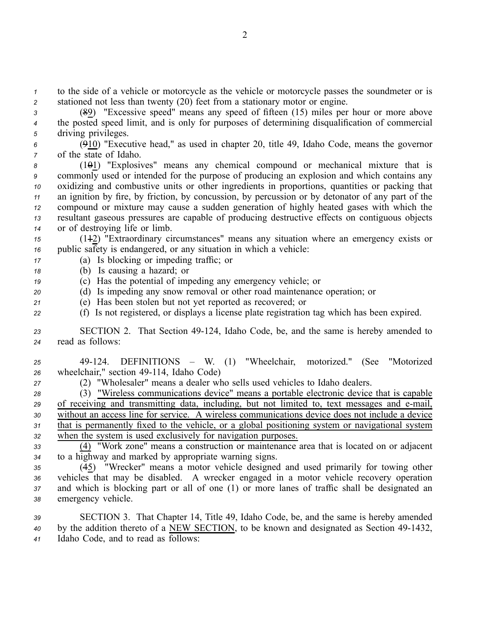*<sup>1</sup>* to the side of <sup>a</sup> vehicle or motorcycle as the vehicle or motorcycle passes the soundmeter or is *<sup>2</sup>* stationed not less than twenty (20) feet from <sup>a</sup> stationary motor or engine.

*<sup>3</sup>* (89) "Excessive speed" means any speed of fifteen (15) miles per hour or more above *<sup>4</sup>* the posted speed limit, and is only for purposes of determining disqualification of commercial *<sup>5</sup>* driving privileges.

*<sup>6</sup>* (910) "Executive head," as used in chapter 20, title 49, Idaho Code, means the governor *<sup>7</sup>* of the state of Idaho.

 (101) "Explosives" means any chemical compound or mechanical mixture that is commonly used or intended for the purpose of producing an explosion and which contains any oxidizing and combustive units or other ingredients in proportions, quantities or packing that an ignition by fire, by friction, by concussion, by percussion or by detonator of any par<sup>t</sup> of the compound or mixture may cause <sup>a</sup> sudden generation of highly heated gases with which the resultant gaseous pressures are capable of producing destructive effects on contiguous objects or of destroying life or limb.

*<sup>15</sup>* (112) "Extraordinary circumstances" means any situation where an emergency exists or *<sup>16</sup>* public safety is endangered, or any situation in which <sup>a</sup> vehicle:

- *<sup>17</sup>* (a) Is blocking or impeding traffic; or
- *<sup>18</sup>* (b) Is causing <sup>a</sup> hazard; or
- *<sup>19</sup>* (c) Has the potential of impeding any emergency vehicle; or
- *<sup>20</sup>* (d) Is impeding any snow removal or other road maintenance operation; or
- *<sup>21</sup>* (e) Has been stolen but not ye<sup>t</sup> reported as recovered; or
- *<sup>22</sup>* (f) Is not registered, or displays <sup>a</sup> license plate registration tag which has been expired.

23 **SECTION 2.** That Section 49-124, Idaho Code, be, and the same is hereby amended to *<sup>24</sup>* read as follows:

- *<sup>25</sup>* 49124. DEFINITIONS W. (1) "Wheelchair, motorized." (See "Motorized 26 wheelchair," section 49-114, Idaho Code)
- *<sup>27</sup>* (2) "Wholesaler" means <sup>a</sup> dealer who sells used vehicles to Idaho dealers.

 (3) "Wireless communications device" means <sup>a</sup> portable electronic device that is capable 29 of receiving and transmitting data, including, but not limited to, text messages and e-mail, without an access line for service. A wireless communications device does not include <sup>a</sup> device that is permanently fixed to the vehicle, or <sup>a</sup> global positioning system or navigational system when the system is used exclusively for navigation purposes.

*<sup>33</sup>* (4) "Work zone" means <sup>a</sup> construction or maintenance area that is located on or adjacent *<sup>34</sup>* to <sup>a</sup> highway and marked by appropriate warning signs.

 (45) "Wrecker" means <sup>a</sup> motor vehicle designed and used primarily for towing other vehicles that may be disabled. A wrecker engaged in <sup>a</sup> motor vehicle recovery operation and which is blocking par<sup>t</sup> or all of one (1) or more lanes of traffic shall be designated an emergency vehicle.

*<sup>39</sup>* SECTION 3. That Chapter 14, Title 49, Idaho Code, be, and the same is hereby amended *<sup>40</sup>* by the addition thereto of <sup>a</sup> NEW SECTION, to be known and designated as Section 491432, *<sup>41</sup>* Idaho Code, and to read as follows: